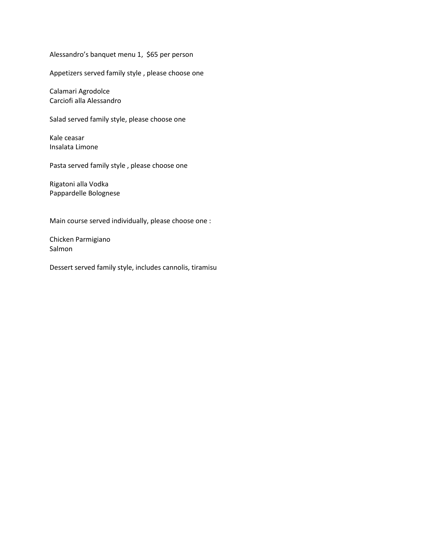Alessandro's banquet menu 1, \$65 per person

Appetizers served family style , please choose one

Calamari Agrodolce Carciofi alla Alessandro

Salad served family style, please choose one

Kale ceasar Insalata Limone

Pasta served family style , please choose one

Rigatoni alla Vodka Pappardelle Bolognese

Main course served individually, please choose one :

Chicken Parmigiano Salmon

Dessert served family style, includes cannolis, tiramisu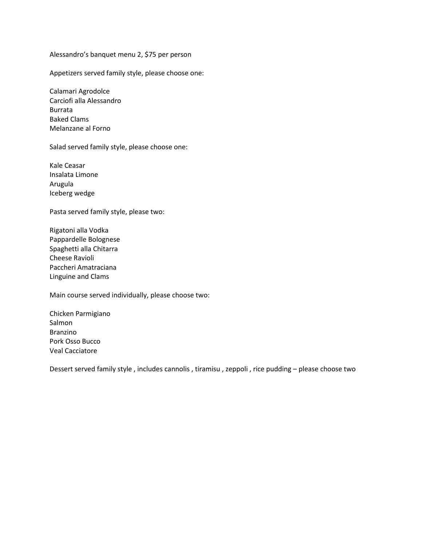Alessandro's banquet menu 2, \$75 per person

Appetizers served family style, please choose one:

Calamari Agrodolce Carciofi alla Alessandro Burrata Baked Clams Melanzane al Forno

Salad served family style, please choose one:

Kale Ceasar Insalata Limone Arugula Iceberg wedge

Pasta served family style, please two:

Rigatoni alla Vodka Pappardelle Bolognese Spaghetti alla Chitarra Cheese Ravioli Paccheri Amatraciana Linguine and Clams

Main course served individually, please choose two:

Chicken Parmigiano Salmon Branzino Pork Osso Bucco Veal Cacciatore

Dessert served family style , includes cannolis , tiramisu , zeppoli , rice pudding – please choose two